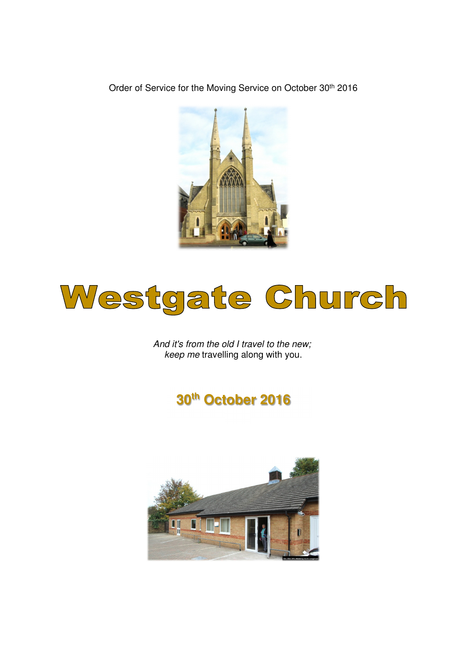Order of Service for the Moving Service on October 30<sup>th</sup> 2016



# Westgate Church

And it's from the old I travel to the new; keep me travelling along with you.

# **30th October 2016**

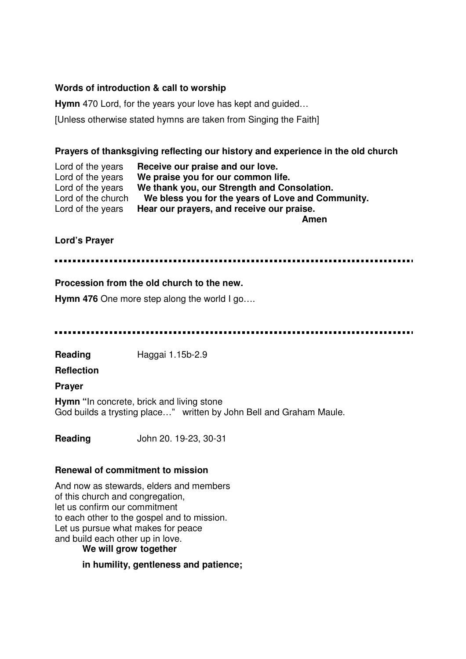#### **Words of introduction & call to worship**

**Hymn** 470 Lord, for the years your love has kept and guided…

[Unless otherwise stated hymns are taken from Singing the Faith]

#### **Prayers of thanksgiving reflecting our history and experience in the old church**

Lord of the years **Receive our praise and our love.**  Lord of the years **We praise you for our common life.**  We thank you, our Strength and Consolation. Lord of the church **We bless you for the years of Love and Community.**  Lord of the years **Hear our prayers, and receive our praise.** 

**Amen** 

#### **Lord's Prayer**

#### **Procession from the old church to the new.**

**Hymn 476** One more step along the world I go….

**Reading** Haggai 1.15b-2.9

**Reflection** 

**Prayer** 

**Hymn "**In concrete, brick and living stone God builds a trysting place…" written by John Bell and Graham Maule.

**Reading** John 20. 19-23, 30-31

#### **Renewal of commitment to mission**

And now as stewards, elders and members of this church and congregation, let us confirm our commitment to each other to the gospel and to mission. Let us pursue what makes for peace and build each other up in love.

**We will grow together** 

**in humility, gentleness and patience;**